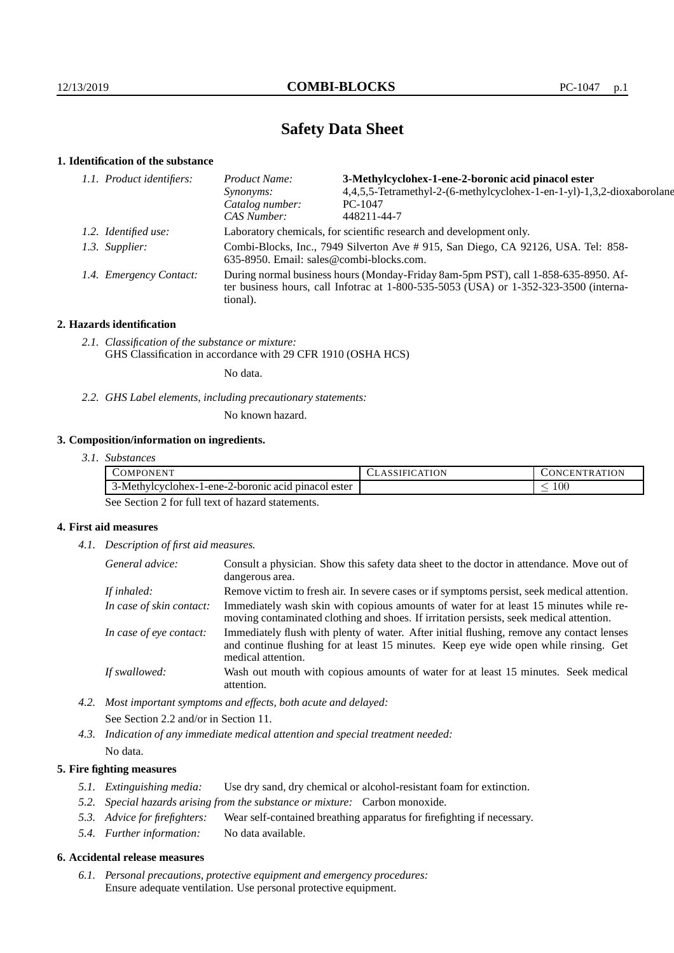# **Safety Data Sheet**

## **1. Identification of the substance**

| 1.1. Product identifiers: | 3-Methylcyclohex-1-ene-2-boronic acid pinacol ester<br>Product Name:                                                                                                                    |                                                                        |
|---------------------------|-----------------------------------------------------------------------------------------------------------------------------------------------------------------------------------------|------------------------------------------------------------------------|
|                           | <i>Synonyms:</i>                                                                                                                                                                        | 4,4,5,5-Tetramethyl-2-(6-methylcyclohex-1-en-1-yl)-1,3,2-dioxaborolane |
|                           | Catalog number:                                                                                                                                                                         | $PC-1047$                                                              |
|                           | CAS Number:                                                                                                                                                                             | 448211-44-7                                                            |
| 1.2. Identified use:      | Laboratory chemicals, for scientific research and development only.                                                                                                                     |                                                                        |
| 1.3. Supplier:            | Combi-Blocks, Inc., 7949 Silverton Ave # 915, San Diego, CA 92126, USA. Tel: 858-<br>635-8950. Email: sales@combi-blocks.com.                                                           |                                                                        |
| 1.4. Emergency Contact:   | During normal business hours (Monday-Friday 8am-5pm PST), call 1-858-635-8950. Af-<br>ter business hours, call Infotrac at 1-800-535-5053 (USA) or 1-352-323-3500 (interna-<br>tional). |                                                                        |
|                           |                                                                                                                                                                                         |                                                                        |

## **2. Hazards identification**

*2.1. Classification of the substance or mixture:* GHS Classification in accordance with 29 CFR 1910 (OSHA HCS)

No data.

*2.2. GHS Label elements, including precautionary statements:*

No known hazard.

## **3. Composition/information on ingredients.**

| DMPONENT                                            | ∃ON<br>IFI)<br>ΑI | <b>FRATION</b><br>нN.<br>. .ONC |
|-----------------------------------------------------|-------------------|---------------------------------|
| 3-Methylcyclonex-1-ene-2-boronic acid pinacol ester |                   | 100<br>$\overline{\phantom{a}}$ |

See Section 2 for full text of hazard statements.

## **4. First aid measures**

*4.1. Description of first aid measures.*

| General advice:          | Consult a physician. Show this safety data sheet to the doctor in attendance. Move out of<br>dangerous area.                                                                                            |
|--------------------------|---------------------------------------------------------------------------------------------------------------------------------------------------------------------------------------------------------|
| If inhaled:              | Remove victim to fresh air. In severe cases or if symptoms persist, seek medical attention.                                                                                                             |
| In case of skin contact: | Immediately wash skin with copious amounts of water for at least 15 minutes while re-<br>moving contaminated clothing and shoes. If irritation persists, seek medical attention.                        |
| In case of eye contact:  | Immediately flush with plenty of water. After initial flushing, remove any contact lenses<br>and continue flushing for at least 15 minutes. Keep eye wide open while rinsing. Get<br>medical attention. |
| If swallowed:            | Wash out mouth with copious amounts of water for at least 15 minutes. Seek medical<br>attention.                                                                                                        |

*4.2. Most important symptoms and effects, both acute and delayed:* See Section 2.2 and/or in Section 11.

*4.3. Indication of any immediate medical attention and special treatment needed:* No data.

## **5. Fire fighting measures**

- *5.1. Extinguishing media:* Use dry sand, dry chemical or alcohol-resistant foam for extinction.
- *5.2. Special hazards arising from the substance or mixture:* Carbon monoxide.
- *5.3. Advice for firefighters:* Wear self-contained breathing apparatus for firefighting if necessary.
- *5.4. Further information:* No data available.

## **6. Accidental release measures**

*6.1. Personal precautions, protective equipment and emergency procedures:* Ensure adequate ventilation. Use personal protective equipment.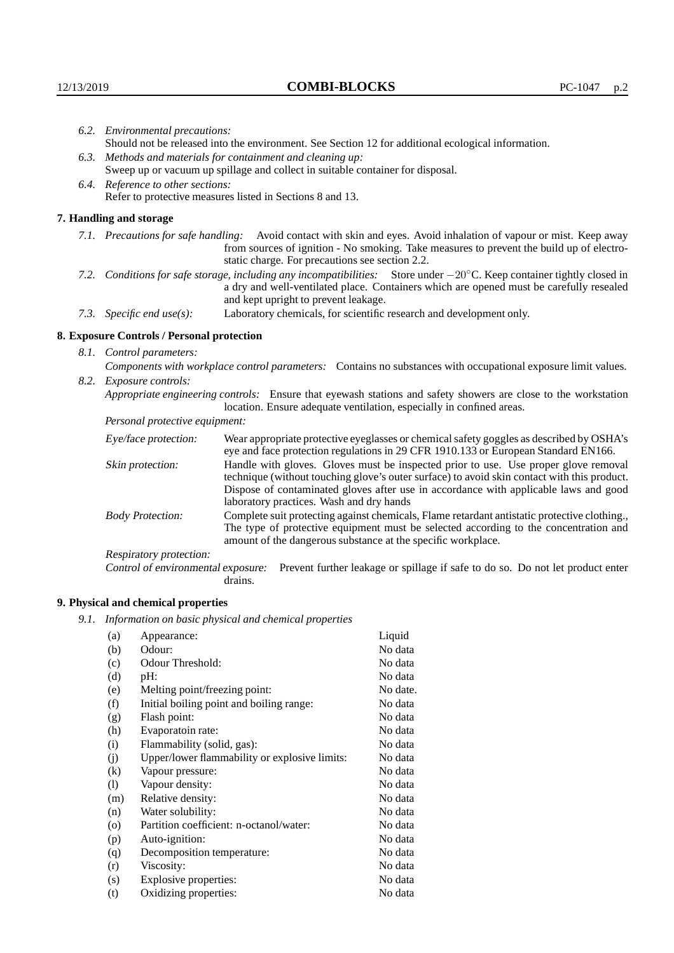|                                                                                                                | 6.2. Environmental precautions:                                                                                                                                                                                                                                     |                                                                                                                                                                                                                                |  |
|----------------------------------------------------------------------------------------------------------------|---------------------------------------------------------------------------------------------------------------------------------------------------------------------------------------------------------------------------------------------------------------------|--------------------------------------------------------------------------------------------------------------------------------------------------------------------------------------------------------------------------------|--|
|                                                                                                                | Should not be released into the environment. See Section 12 for additional ecological information.                                                                                                                                                                  |                                                                                                                                                                                                                                |  |
|                                                                                                                | 6.3. Methods and materials for containment and cleaning up:<br>Sweep up or vacuum up spillage and collect in suitable container for disposal.                                                                                                                       |                                                                                                                                                                                                                                |  |
|                                                                                                                | 6.4. Reference to other sections:                                                                                                                                                                                                                                   |                                                                                                                                                                                                                                |  |
|                                                                                                                |                                                                                                                                                                                                                                                                     | Refer to protective measures listed in Sections 8 and 13.                                                                                                                                                                      |  |
|                                                                                                                | 7. Handling and storage                                                                                                                                                                                                                                             |                                                                                                                                                                                                                                |  |
|                                                                                                                | 7.1. Precautions for safe handling:                                                                                                                                                                                                                                 | Avoid contact with skin and eyes. Avoid inhalation of vapour or mist. Keep away<br>from sources of ignition - No smoking. Take measures to prevent the build up of electro-<br>static charge. For precautions see section 2.2. |  |
|                                                                                                                | 7.2. Conditions for safe storage, including any incompatibilities: Store under $-20^{\circ}$ C. Keep container tightly closed in<br>a dry and well-ventilated place. Containers which are opened must be carefully resealed<br>and kept upright to prevent leakage. |                                                                                                                                                                                                                                |  |
|                                                                                                                | Laboratory chemicals, for scientific research and development only.<br>7.3. Specific end use(s):                                                                                                                                                                    |                                                                                                                                                                                                                                |  |
|                                                                                                                | 8. Exposure Controls / Personal protection                                                                                                                                                                                                                          |                                                                                                                                                                                                                                |  |
|                                                                                                                | 8.1. Control parameters:                                                                                                                                                                                                                                            |                                                                                                                                                                                                                                |  |
|                                                                                                                |                                                                                                                                                                                                                                                                     | Components with workplace control parameters: Contains no substances with occupational exposure limit values.                                                                                                                  |  |
|                                                                                                                | 8.2. Exposure controls:                                                                                                                                                                                                                                             |                                                                                                                                                                                                                                |  |
| Appropriate engineering controls: Ensure that eyewash stations and safety showers are close to the workstation |                                                                                                                                                                                                                                                                     | location. Ensure adequate ventilation, especially in confined areas.                                                                                                                                                           |  |
|                                                                                                                | Personal protective equipment:                                                                                                                                                                                                                                      |                                                                                                                                                                                                                                |  |
| Eye/face protection:<br>Skin protection:                                                                       |                                                                                                                                                                                                                                                                     | Wear appropriate protective eyeglasses or chemical safety goggles as described by OSHA's<br>eye and face protection regulations in 29 CFR 1910.133 or European Standard EN166.                                                 |  |
|                                                                                                                |                                                                                                                                                                                                                                                                     | Handle with gloves. Gloves must be inspected prior to use. Use proper glove removal<br>technique (without touching glove's outer surface) to avoid skin contact with this product.                                             |  |

| Eye/face protection:               | Wear appropriate protective eyeglasses or chemical safety goggles as described by OSHA's<br>eye and face protection regulations in 29 CFR 1910.133 or European Standard EN166.                                                                                                                                         |  |  |
|------------------------------------|------------------------------------------------------------------------------------------------------------------------------------------------------------------------------------------------------------------------------------------------------------------------------------------------------------------------|--|--|
| Skin protection:                   | Handle with gloves. Gloves must be inspected prior to use. Use proper glove removal<br>technique (without touching glove's outer surface) to avoid skin contact with this product.<br>Dispose of contaminated gloves after use in accordance with applicable laws and good<br>laboratory practices. Wash and dry hands |  |  |
| <b>Body Protection:</b>            | Complete suit protecting against chemicals, Flame retardant antistatic protective clothing.,<br>The type of protective equipment must be selected according to the concentration and<br>amount of the dangerous substance at the specific workplace.                                                                   |  |  |
| Respiratory protection:            |                                                                                                                                                                                                                                                                                                                        |  |  |
| Control of environmental exposure: | Prevent further leakage or spillage if safe to do so. Do not let product enter<br>drains.                                                                                                                                                                                                                              |  |  |

## **9. Physical and chemical properties**

*9.1. Information on basic physical and chemical properties*

| (a)                | Appearance:                                   | Liquid   |
|--------------------|-----------------------------------------------|----------|
| (b)                | Odour:                                        | No data  |
| (c)                | Odour Threshold:                              | No data  |
| (d)                | pH:                                           | No data  |
| (e)                | Melting point/freezing point:                 | No date. |
| (f)                | Initial boiling point and boiling range:      | No data  |
| (g)                | Flash point:                                  | No data  |
| (h)                | Evaporatoin rate:                             | No data  |
| (i)                | Flammability (solid, gas):                    | No data  |
| (j)                | Upper/lower flammability or explosive limits: | No data  |
| $\rm(k)$           | Vapour pressure:                              | No data  |
| (1)                | Vapour density:                               | No data  |
| (m)                | Relative density:                             | No data  |
| (n)                | Water solubility:                             | No data  |
| $\left( 0 \right)$ | Partition coefficient: n-octanol/water:       | No data  |
| (p)                | Auto-ignition:                                | No data  |
| (q)                | Decomposition temperature:                    | No data  |
| (r)                | Viscosity:                                    | No data  |
| (s)                | Explosive properties:                         | No data  |
| (t)                | Oxidizing properties:                         | No data  |